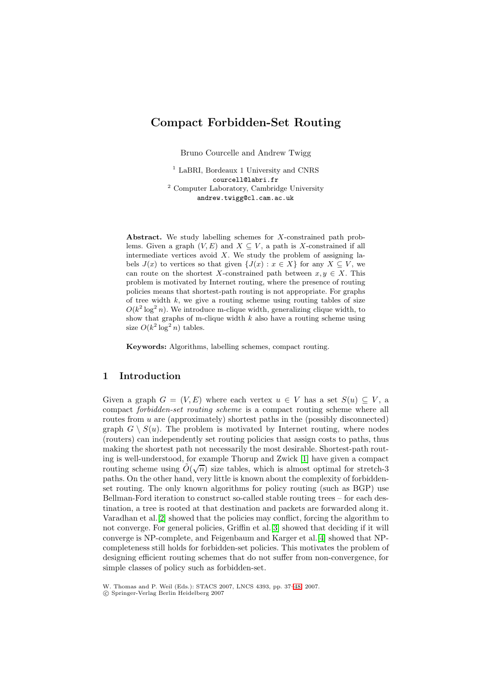# **Compact Forbidden-Set Routing**

Bruno Courcelle and Andrew Twigg

<sup>1</sup> LaBRI, Bordeaux 1 University and CNRS courcell@labri.fr <sup>2</sup> Computer Laboratory, Cambridge University andrew.twigg@cl.cam.ac.uk

**Abstract.** We study labelling schemes for X-constrained path problems. Given a graph  $(V, E)$  and  $X \subseteq V$ , a path is X-constrained if all intermediate vertices avoid  $X$ . We study the problem of assigning labels  $J(x)$  to vertices so that given  $\{J(x) : x \in X\}$  for any  $X \subseteq V$ , we can route on the shortest X-constrained path between  $x, y \in X$ . This problem is motivated by Internet routing, where the presence of routing policies means that shortest-path routing is not appropriate. For graphs of tree width  $k$ , we give a routing scheme using routing tables of size  $O(k^2 \log^2 n)$ . We introduce m-clique width, generalizing clique width, to show that graphs of m-clique width  $k$  also have a routing scheme using size  $O(k^2 \log^2 n)$  tables.

**Keywords:** Algorithms, labelling schemes, compact routing.

## **1 Introduction**

Given a graph  $G = (V, E)$  where each vertex  $u \in V$  has a set  $S(u) \subseteq V$ , a compact forbidden-set routing scheme is a compact routing scheme where all routes from u are (approximately) shortest paths in the (possibly disconnected) graph  $G \setminus S(u)$ . The problem is motivated by Internet routing, where nodes (routers) can independently set routing policies that assign costs to paths, thus making the shortest path not necessarily the most desirable. Shortest-path routing is well-understood, for example Thorup and Zwick [1] have given a compact routing scheme using  $\tilde{O}(\sqrt{n})$  size tables, which is almost optimal for stretch-3 paths. On the other hand, very little is known about the complexity of forbiddenset routing. The only known algorithms for policy routing (such as BGP) use Bellman-Ford iteration to construct so-called stable rou[tin](#page-11-0)g trees – for each destination, a tree is rooted at that destination and packets are forwarded along it. Varadhan et al.[2] showed that the policies may conflict, forcing the algorithm to not converge. For general policies, Griffin et al.[3] showed that deciding if it will converge is NP-complete, and Feigenbaum and Karger et al.[4] showed that NPcompleteness still holds for forbidden-set policies. This motivates the problem of designing effici[ent](#page-11-1) routing schemes that do not suffer from non-convergence, for simple classes of policy such as forbidden-set.

W. Thomas and P. Weil (Eds.): STACS 2007, LNCS 4393, pp. 37–48, 2007.

<sup>-</sup>c Springer-Verlag Berlin Heidelberg 2007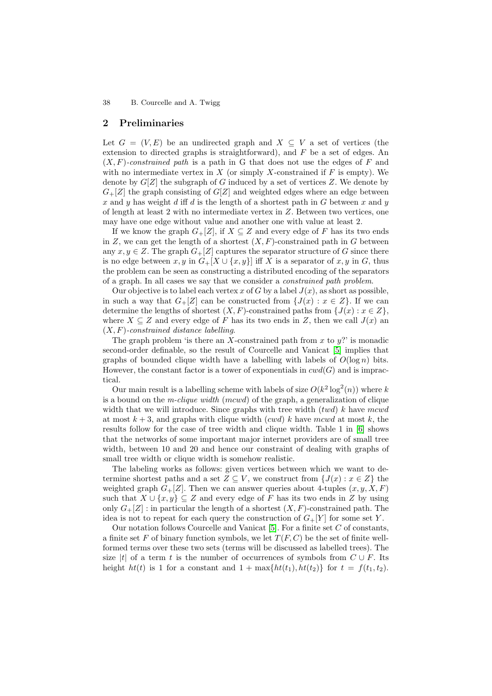## **2 Preliminaries**

Let  $G = (V, E)$  be an undirected graph and  $X \subseteq V$  a set of vertices (the extension to directed graphs is straightforward), and  $F$  be a set of edges. An  $(X, F)$ -constrained path is a path in G that does not use the edges of F and with no intermediate vertex in X (or simply X-constrained if  $F$  is empty). We denote by  $G[Z]$  the subgraph of G induced by a set of vertices Z. We denote by  $G_{+}[Z]$  the graph consisting of  $G[Z]$  and weighted edges where an edge between x and y has weight d iff d is the length of a shortest path in G between x and y of length at least 2 with no intermediate vertex in Z. Between two vertices, one may have one edge without value and another one with value at least 2.

If we know the graph  $G_{+}[Z]$ , if  $X \subseteq Z$  and every edge of F has its two ends in Z, we can get the length of a shortest  $(X, F)$ -constrained path in G between any  $x, y \in Z$ . The graph  $G_{+}[Z]$  captures the separator structure of G since there is no edge between x, y in  $G_{+}[X \cup \{x,y\}]$  iff X is a separator of x, y in G, thus the problem can be seen as constructing a distributed encoding of the separators of a graph. In all cases we say that we consider a constrained path problem.

Our objective is to label each vertex x of G by a label  $J(x)$ , as short as possible, in such a way that  $G_{+}[Z]$  can be constructed from  $\{J(x): x \in Z\}$ . If we can determine the lengths of shortest  $(X, F)$ -constrained paths from  $\{J(x) : x \in Z\}$ , where  $X \subseteq Z$  and every edge of F has its two ends in Z, then we call  $J(x)$  and  $(X, F)$ -constrained distance labelling.

The graph problem 'is there an X-constrained path from x to  $y$ ?' is monadic second-order definable, so the result of Courcelle and Vanicat [5] implies that graphs of bounded clique width have a labelling with labels of  $O(\log n)$  bits. However, the constant factor is a tower of exponentials in  $cwd(G)$  and is impractical.

Our main result is a labelling scheme with labels of size  $O(k^2 \log^2(n))$  $O(k^2 \log^2(n))$  $O(k^2 \log^2(n))$  where k is a bound on the m-clique width (mcwd) of the graph, a generalization of clique width that we will introduce. Since graphs with tree width  $(twd)$  k have mcwd at most  $k + 3$ , and graphs with clique width (cwd) k have mcwd at most k, the results follow for the case of tree width and clique width. Table 1 in [6] shows that the networks of some important major internet providers are of small tree width, between 10 and 20 and hence our constraint of dealing with graphs of small tree width or clique width is somehow realistic.

The labeling works as follows: given vertices between which we wa[nt](#page-11-3) to determine shortest paths and a set  $Z \subseteq V$ , we construct from  $\{J(x) : x \in Z\}$  the weighted graph  $G_{+}[Z]$ . Then we can answer queries about 4-tuples  $(x, y, X, F)$ such that  $X \cup \{x, y\} \subseteq Z$  and every edge of F has its two ends in Z by using only  $G_{+}[Z]$ : in particular the length of a shortest  $(X, F)$ -constrained path. The idea is not to repeat for each query the construction of  $G_{+}[Y]$  for some set Y.

Our notation follows Courcelle and Vanicat  $[5]$ . For a finite set C of constants, a finite set F of binary function symbols, we let  $T(F, C)$  be the set of finite wellformed terms over these two sets (terms will be discussed as labelled trees). The size |t| of a term t is the number of occurrences of symbols from  $C \cup F$ . Its height  $ht(t)$  is 1 for a constant and  $1 + \max\{ht(t_1),ht(t_2)\}\)$  $1 + \max\{ht(t_1),ht(t_2)\}\)$  $1 + \max\{ht(t_1),ht(t_2)\}\)$  for  $t = f(t_1,t_2)$ .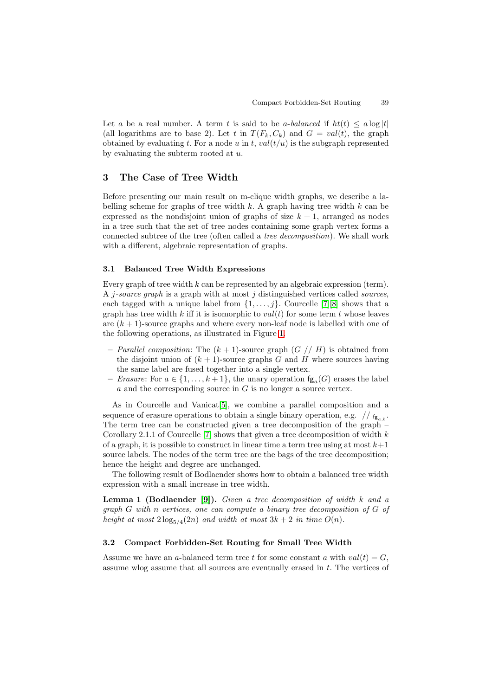Let a be a real number. A term t is said to be a-balanced if  $ht(t) \le a \log|t|$ (all logarithms are to base 2). Let t in  $T(F_k, C_k)$  and  $G = val(t)$ , the graph obtained by evaluating t. For a node u in t,  $val(t/u)$  is the subgraph represented by evaluating the subterm rooted at  $u$ .

## **3 The Case of Tree Width**

Before presenting our main result on m-clique width graphs, we describe a labelling scheme for graphs of tree width  $k$ . A graph having tree width  $k$  can be expressed as the nondisjoint union of graphs of size  $k + 1$ , arranged as nodes in a tree such that the set of tree nodes containing some graph vertex forms a connected subtree of the tree (often called a tree decomposition). We shall work with a different, algebraic representation of graphs.

#### **3.1 Balanced Tree Width Expressions**

Every graph of tree width  $k$  can be represented by an algebraic expression (term). A *j*-source graph is a graph with at most j distinguished vertices called *sources*, each tagged with a unique label from  $\{1,\ldots,j\}$ . Courcelle [7][8] shows that a graph has tree width k iff it is isomorphic to  $val(t)$  for some term t whose leaves are  $(k + 1)$ -source graphs and where every non-leaf node is labelled with one of the following operations, as illustrated in Figure 1.

- **–** Parallel composition: The (k + 1)-source graph (G // H[\)](#page-11-4) i[s](#page-11-5) obtained from the disjoint union of  $(k + 1)$ -source graphs G and H where sources having the same label are fused together into a single vertex.
- $−$  *Erasure*: For  $a \in \{1, ..., k+1\}$ , the unary o[per](#page-3-0)ation  $f_{\mathcal{B}_a}(G)$  erases the label  $a$  and the corresponding source in  $G$  is no longer a source vertex.

As in Courcelle and Vanicat[5], we combine a parallel composition and a sequence of erasure operations to obtain a single binary operation, e.g.  $\frac{1}{\pi}$   $f_{\rm g}$ . The term tree can be constructed given a tree decomposition of the graph – Corollary 2.1.1 of Courcelle [7] shows that given a tree decomposition of width  $k$ of a graph, it is possible to constr[uc](#page-11-2)t in linear time a term tree using at most  $k+1$ source labels. The nodes of the term tree are the bags of the tree decomposition; hence the height and degree are unchanged.

The following result of Bo[dl](#page-11-4)aender shows how to obtain a balanced tree width expression with a small increase in tree width.

**Lemma 1 (Bodlaender [9]).** Given a tree decomposition of width k and a graph G with n vertices, one can compute a binary tree decomposition of G of height at most  $2\log_{5/4}(2n)$  and width at most  $3k + 2$  in time  $O(n)$ .

#### **3.2 Compact Forbidde[n-](#page-11-6)Set Routing for Small Tree Width**

Assume we have an a-balanced term tree t for some constant a with  $val(t) = G$ . assume wlog assume that all sources are eventually erased in t. The vertices of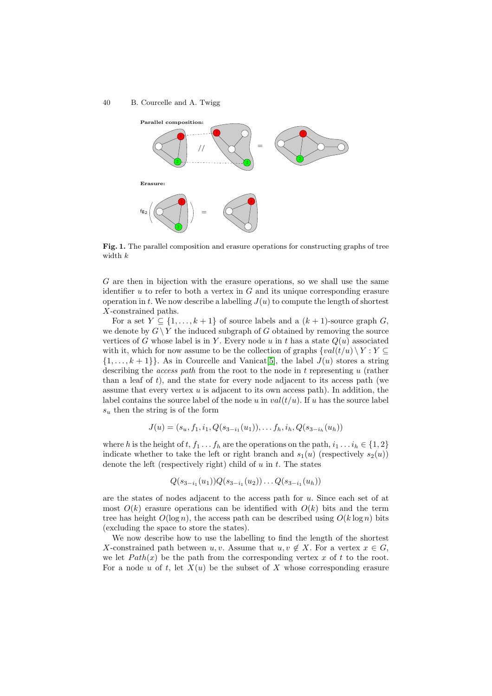

**Fig. 1.** The parallel composition and erasure operations for constructing graphs of tree width k

<span id="page-3-0"></span>G are then in bijection with the erasure operations, so we shall use the same identifier  $u$  to refer to both a vertex in  $G$  and its unique corresponding erasure operation in t. We now describe a labelling  $J(u)$  to compute the length of shortest X-constrained paths.

For a set  $Y \subseteq \{1, \ldots, k+1\}$  of source labels and a  $(k+1)$ -source graph G, we denote by  $G \ Y$  the induced subgraph of G obtained by removing the source vertices of G whose label is in Y. Every node u in t has a state  $Q(u)$  associated with it, which for now assume to be the collection of graphs  $\{val(t/u) \setminus Y : Y \subseteq$  $\{1,\ldots,k+1\}$ . As in Courcelle and Vanicat<sup>[5]</sup>, the label  $J(u)$  stores a string describing the access path from the root to the node in t representing u (rather than a leaf of  $t$ ), and the state for every node adjacent to its access path (we assume that every vertex  $u$  is adjacent to its own access path). In addition, the label contains the source label of the node u in  $val(t/u)$  $val(t/u)$ . If u has the source label  $s<sub>u</sub>$  then the string is of the form

$$
J(u) = (s_u, f_1, i_1, Q(s_{3-i_1}(u_1)), \ldots, f_h, i_h, Q(s_{3-i_h}(u_h)))
$$

where h is the height of t,  $f_1 \tldots f_h$  are the operations on the path,  $i_1 \tldots i_h \tildin \{1,2\}$ indicate whether to take the left or right branch and  $s_1(u)$  (respectively  $s_2(u)$ ) denote the left (respectively right) child of  $u$  in  $t$ . The states

$$
Q(s_{3-i_1}(u_1))Q(s_{3-i_1}(u_2))\ldots Q(s_{3-i_1}(u_h))
$$

are the states of nodes adjacent to the access path for u. Since each set of at most  $O(k)$  erasure operations can be identified with  $O(k)$  bits and the term tree has height  $O(\log n)$ , the access path can be described using  $O(k \log n)$  bits (excluding the space to store the states).

We now describe how to use the labelling to find the length of the shortest X-constrained path between u, v. Assume that  $u, v \notin X$ . For a vertex  $x \in G$ , we let  $Path(x)$  be the path from the corresponding vertex x of t to the root. For a node u of t, let  $X(u)$  be the subset of X whose corresponding erasure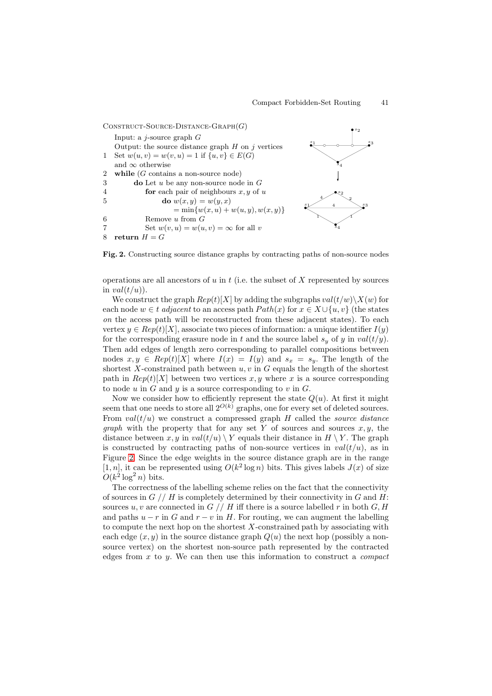$\text{CONSTRUCT-SOURCE-DISTANCE-GRAPH}(G)$ Input: a  $j$ -source graph  $G$ Output: the source distance graph  $H$  on  $j$  vertices 1 Set  $w(u, v) = w(v, u) = 1$  if  $\{u, v\} \in E(G)$ and  $\infty$  otherwise 2 **while** (G contains a non-source node) 3 **do** Let u be any non-source node in G 4 **for** each pair of neighbours x, y of u 5 **do**  $w(x,y) = w(y,x)$  $=\min\{w(x,u)+w(u,y),w(x,y)\}\$ 6 Remove u from G 7 Set  $w(v, u) = w(u, v) = \infty$  for all v 8 **return**  $H = G$ s2  $s_1$  4  $s_3$  $\mathbf{s}_4$ s2 4  $\sim$   $\Lambda$ 4 2  $s_1$  s<sub>3</sub>  $\overline{\mathbf{s}}_4$ 

**Fig. 2.** Constructing source distance graphs by contracting paths of non-source nodes

operations are all ancestors of  $u$  in  $t$  (i.e. the subset of  $X$  represented by sources in  $val(t/u)$ .

<span id="page-4-0"></span>We construct the graph  $Rep(t)[X]$  by adding the subgraphs  $val(t/w)\X(w)$  for each node  $w \in t$  adjacent to an access path  $Path(x)$  for  $x \in X \cup \{u, v\}$  (the states on the access path will be reconstructed from these adjacent states). To each vertex  $y \in Rep(t)[X]$ , associate two pieces of information: a unique identifier  $I(y)$ for the corresponding erasure node in t and the source label  $s_y$  of y in  $val(t/y)$ . Then add edges of length zero corresponding to parallel compositions between nodes  $x, y \in Rep(t)[X]$  where  $I(x) = I(y)$  and  $s_x = s_y$ . The length of the shortest X-constrained path between  $u, v$  in  $G$  equals the length of the shortest path in  $Rep(t)[X]$  between two vertices x, y where x is a source corresponding to node  $u$  in  $G$  and  $y$  is a source corresponding to  $v$  in  $G$ .

Now we consider how to efficiently represent the state  $Q(u)$ . At first it might seem that one needs to store all  $2^{O(k)}$  graphs, one for every set of deleted sources. From  $val(t/u)$  we construct a compressed graph H called the *source distance graph* with the property that for any set Y of sources and sources  $x, y$ , the distance between x, y in val $(t/u) \ Y$  equals their distance in  $H \ Y$ . The graph is constructed by contracting paths of non-source vertices in  $val(t/u)$ , as in Figure 2. Since the edge weights in the source distance graph are in the range [1, n], it can be represented using  $O(k^2 \log n)$  bits. This gives labels  $J(x)$  of size  $O(k^2 \log^2 n)$  bits.

The correctness of the labelling scheme relies on the fact that the connectivity of sour[ce](#page-4-0)s in  $G$  // H is completely determined by their connectivity in G and H: sources u, v are connected in  $G \text{ // } H$  iff there is a source labelled r in both  $G, H$ and paths  $u - r$  in G and  $r - v$  in H. For routing, we can augment the labelling to compute the next hop on the shortest  $X$ -constrained path by associating with each edge  $(x, y)$  in the source distance graph  $Q(u)$  the next hop (possibly a nonsource vertex) on the shortest non-source path represented by the contracted edges from  $x$  to  $y$ . We can then use this information to construct a *compact*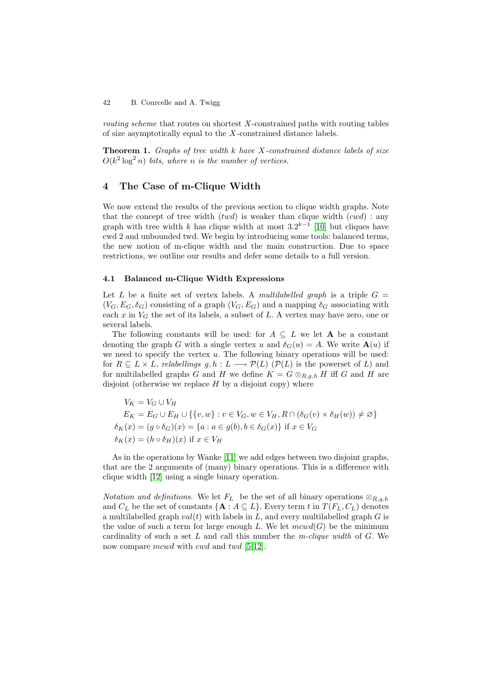routing scheme that routes on shortest X-constrained paths with routing tables of size asymptotically equal to the X-constrained distance labels.

**Theorem 1.** Graphs of tree width  $k$  have  $X$ -constrained distance labels of size  $O(k^2 \log^2 n)$  bits, where n is the number of vertices.

## **4 The Case of m-Clique Width**

We now extend the results of the previous section to clique width graphs. Note that the concept of tree width  $(twd)$  is weaker than clique width  $(cwd)$ : any graph with tree width k has clique width at most  $3.2^{k-1}$  [10] but cliques have cwd 2 and unbounded twd. We begin by introducing some tools: balanced terms, the new notion of m-clique width and the main construction. Due to space restrictions, we outline our results and defer some details to a full version.

#### **4.1 Balanced m-Clique Width Expressions**

Let L be a finite set of vertex labels. A multilabelled graph is a triple  $G =$  $(V_G, E_G, \delta_G)$  consisting of a graph  $(V_G, E_G)$  and a mapping  $\delta_G$  associating with each x in  $V_G$  the set of its labels, a subset of L. A vertex may have zero, one or several labels.

The following constants will be used: for  $A \subseteq L$  we let **A** be a constant denoting the graph G with a single vertex u and  $\delta_G(u) = A$ . We write  $\mathbf{A}(u)$  if we need to specify the vertex  $u$ . The following binary operations will be used: for  $R \subseteq L \times L$ , relabellings  $g, h: L \longrightarrow \mathcal{P}(L)$  ( $\mathcal{P}(L)$  is the powerset of L) and for multilabelled graphs G and H we define  $K = G \otimes_{R,q,h} H$  iff G and H are disjoint (otherwise we replace  $H$  by a disjoint copy) where

$$
V_K = V_G \cup V_H
$$
  
\n
$$
E_K = E_G \cup E_H \cup \{\{v, w\} : v \in V_G, w \in V_H, R \cap (\delta_G(v) \times \delta_H(w)) \neq \emptyset\}
$$
  
\n
$$
\delta_K(x) = (g \circ \delta_G)(x) = \{a : a \in g(b), b \in \delta_G(x)\} \text{ if } x \in V_G
$$
  
\n
$$
\delta_K(x) = (h \circ \delta_H)(x) \text{ if } x \in V_H
$$

As in the operations by Wanke [11] we add edges between two disjoint graphs, that are the 2 arguments of (many) binary operations. This is a difference with clique width [12] using a single binary operation.

*Notation and definitions.* We let  $F_L$  $F_L$  be the set of all binary operations  $\otimes_{R,a,h}$ and  $C_L$  be the set of constants  $\{A : A \subseteq L\}$ . Every term t in  $T(F_L, C_L)$  denotes a multilabell[ed g](#page-11-8)raph  $val(t)$  with labels in L, and every multilabelled graph G is the value of such a term for large enough L. We let  $mcwd(G)$  be the minimum cardinality of such a set L and call this number the m-clique width of  $G$ . We now compare mcwd with cwd and twd  $[5,12]$ .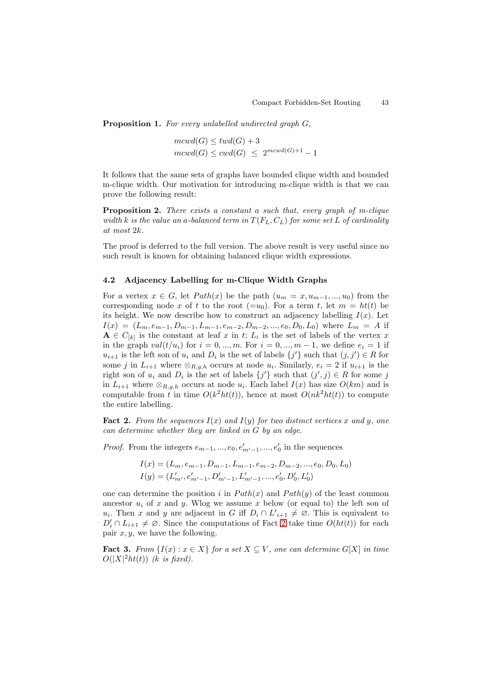Proposition 1. For every unlabelled undirected graph G,

$$
mcwd(G) \leq twd(G) + 3
$$
  

$$
mcwd(G) \leq cwd(G) \leq 2^{mcwd(G)+1} - 1
$$

It follows that the same sets of graphs have bounded clique width and bounded m-clique width. Our motivation for introducing m-clique width is that we can prove the following result:

**Proposition 2.** There exists a constant a such that, every graph of m-clique width k is the value an a-balanced term in  $T(F_L, C_L)$  for some set L of cardinality at most 2k.

<span id="page-6-1"></span>The proof is deferred to the full version. The above result is very useful since no such result is known for obtaining balanced clique width expressions.

#### **4.2 Adjacency Labelling for m-Clique Width Graphs**

For a vertex  $x \in G$ , let  $Path(x)$  be the path  $(u_m = x, u_{m-1}, ..., u_0)$  from the corresponding node x of t to the root  $(=u_0)$ . For a term t, let  $m = ht(t)$  be its height. We now describe how to construct an adjacency labelling  $I(x)$ . Let  $I(x)=(L_m, e_{m-1}, D_{m-1}, L_{m-1}, e_{m-2}, D_{m-2}, ..., e_0, D_0, L_0)$  where  $L_m = A$  if  $\mathbf{A} \in C_{[k]}$  is the constant at leaf x in t;  $L_i$  is the set of labels of the vertex x in the graph  $val(t/u_i)$  for  $i = 0, ..., m$ . For  $i = 0, ..., m - 1$ , we define  $e_i = 1$  if  $u_{i+1}$  is the left son of  $u_i$  and  $D_i$  is the set of labels  $\{j'\}$  such that  $(j, j') \in R$  for some j in  $L_{i+1}$  where  $\otimes_{R,q,h}$  occurs at node  $u_i$ . Similarly,  $e_i = 2$  if  $u_{i+1}$  is the right son of  $u_i$  and  $D_i$  is the set of labels  $\{j'\}$  such that  $(j', j) \in R$  for some j in  $L_{i+1}$  where  $\otimes_{R,q,h}$  occurs at node  $u_i$ . Each label  $I(x)$  has size  $O(km)$  and is computable from t in time  $O(k^2ht(t))$ , hence at most  $O(nk^2ht(t))$  to compute the entire labelling.

**Fact 2.** From the sequences  $I(x)$  and  $I(y)$  for two distinct vertices x and y, one can determine whether they are linked in G by an edge.

*Proof.* From the integers  $e_{m-1}, ..., e_0, e'_{m'-1}, ..., e'_0$  in the sequences

$$
I(x) = (L_m, e_{m-1}, D_{m-1}, L_{m-1}, e_{m-2}, D_{m-2}, ..., e_0, D_0, L_0)
$$
  

$$
I(y) = (L'_{m'}, e'_{m'-1}, D'_{m'-1}, L'_{m'-1}, ..., e'_0, D'_0, L'_0)
$$

one can determine the position i in  $Path(x)$  and  $Path(y)$  of the least common ancestor  $u_i$  of x and y. Wlog we assume x below (or equal to) the left son of  $u_i$ . Then x and y are adjacent in G iff  $D_i \cap L'_{i+1} \neq \emptyset$ . This is equivalent to  $D'_i \cap L_{i+1} \neq \emptyset$ . Since the computations of Fact 2 take time  $O(ht(t))$  for each pair  $x, y$ , we have the following.

<span id="page-6-0"></span>**Fact 3.** From  $\{I(x): x \in X\}$  for a set  $X \subseteq V$ , one can determine  $G[X]$  in time  $O(|X|^2ht(t))$  (k is fixed).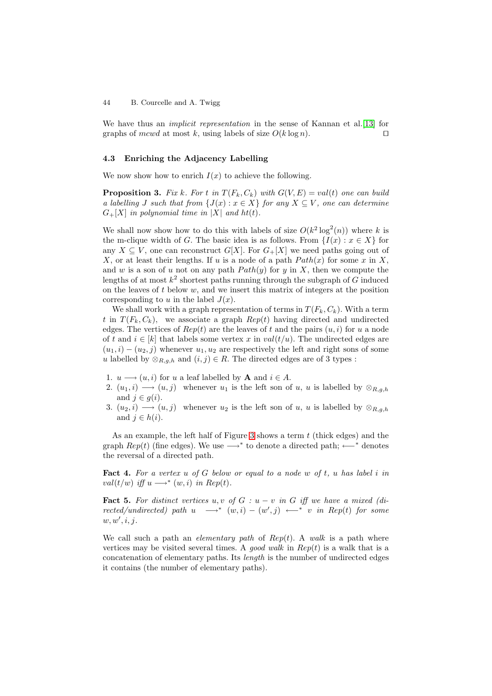We have thus an *implicit representation* in the sense of Kannan et al. [13] for graphs of mcwd at most k, using labels of size  $O(k \log n)$ .

#### **4.3 Enriching the Adjacency Labelling**

We now show how to enrich  $I(x)$  to achieve the following.

**Proposition 3.** Fix k. For t in  $T(F_k, C_k)$  with  $G(V, E) = val(t)$  one can build a labelling J such that from  $\{J(x) : x \in X\}$  for any  $X \subseteq V$ , one can determine  $G_{+}[X]$  in polynomial time in |X| and ht(t).

<span id="page-7-1"></span>We shall now show how to do this with labels of size  $O(k^2 \log^2(n))$  where k is the m-clique width of G. The basic idea is as follows. From  $\{I(x): x \in X\}$  for any  $X \subseteq V$ , one can reconstruct  $G[X]$ . For  $G+[X]$  we need paths going out of X, or at least their lengths. If u is a node of a path  $Path(x)$  for some x in X, and w is a son of u not on any path  $Path(y)$  for y in X, then we compute the lengths of at most  $k^2$  shortest paths running through the subgraph of G induced on the leaves of t below  $w$ , and we insert this matrix of integers at the position corresponding to  $u$  in the label  $J(x)$ .

We shall work with a graph representation of terms in  $T(F_k, C_k)$ . With a term t in  $T(F_k, C_k)$ , we associate a graph  $Rep(t)$  having directed and undirected edges. The vertices of  $Rep(t)$  are the leaves of t and the pairs  $(u, i)$  for u a node of t and  $i \in [k]$  that labels some vertex x in  $val(t/u)$ . The undirected edges are  $(u_1, i) - (u_2, j)$  whenever  $u_1, u_2$  are respectively the left and right sons of some u labelled by  $\otimes_{R,g,h}$  and  $(i,j) \in R$ . The directed edges are of 3 types :

- 1.  $u \rightarrow (u, i)$  for u a leaf labelled by **A** and  $i \in A$ .
- 2.  $(u_1, i) \longrightarrow (u, j)$  whenever  $u_1$  is the left son of u, u is labelled by  $\otimes_{R,g,h}$ and  $j \in g(i)$ .
- 3.  $(u_2, i) \longrightarrow (u, j)$  whenever  $u_2$  is the left son of u, u is labelled by  $\otimes_{R,g,h}$ and  $j \in h(i)$ .

As an example, the left half of Figure 3 shows a term  $t$  (thick edges) and the graph  $Rep(t)$  (fine edges). We use  $\longrightarrow^*$  to denote a directed path;  $\longleftarrow^*$  denotes the reversal of a directed path.

**Fact 4.** For a vertex  $u$  of  $G$  below or e[qu](#page-8-0)al to a node  $w$  of  $t$ ,  $u$  has label  $i$  in val(t/w) iff  $u \longrightarrow^* (w, i)$  in Rep(t).

<span id="page-7-0"></span>**Fact 5.** For distinct vertices u, v of  $G: u - v$  in  $G$  iff we have a mixed (directed/undirected) path  $u \longrightarrow^* (w,i) - (w',j) \longleftarrow^* v$  in Rep(t) for some  $w, w', i, j.$ 

<span id="page-7-2"></span>We call such a path an *elementary path* of  $Rep(t)$ . A walk is a path where vertices may be visited several times. A good walk in  $Rep(t)$  is a walk that is a concatenation of elementary paths. Its length is the number of undirected edges it contains (the number of elementary paths).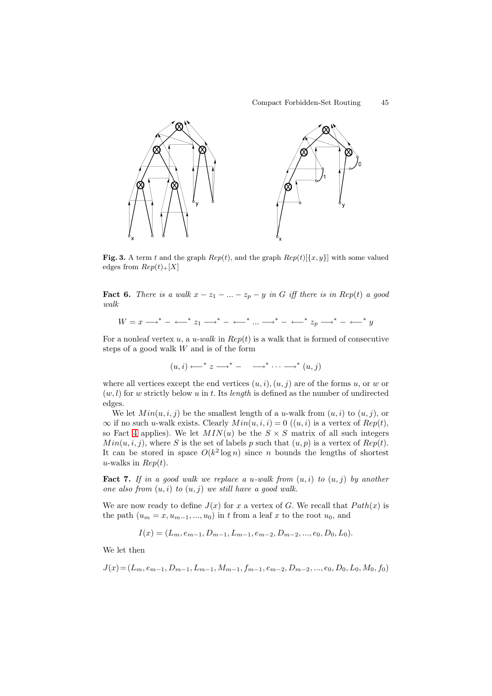

**Fig. 3.** A term t and the graph  $Rep(t)$ , and the graph  $Rep(t)[\{x,y\}]$  with some valued edges from  $Rep(t)_+[X]$ 

<span id="page-8-0"></span>**Fact 6.** There is a walk  $x - z_1 - ... - z_p - y$  in G iff there is in Rep(t) a good walk

$$
W = x \longrightarrow^* - \longleftarrow^* z_1 \longrightarrow^* - \longleftarrow^* \ldots \longrightarrow^* - \longleftarrow^* z_p \longrightarrow^* - \longleftarrow^* y
$$

For a nonleaf vertex u, a u-walk in  $Rep(t)$  is a walk that is formed of consecutive steps of a good walk W and is of the form

$$
(u,i) \longleftrightarrow^* z \longrightarrow^* - \longrightarrow^* \cdots \longrightarrow^* (u,j)
$$

where all vertices except the end vertices  $(u,i),(u,j)$  are of the forms u, or w or  $(w, l)$  for w strictly below u in t. Its length is defined as the number of undirected edges.

We let  $Min(u, i, j)$  be the smallest length of a u-walk from  $(u, i)$  to  $(u, j)$ , or  $\infty$  if no such u-walk exists. Clearly  $Min(u, i, i) = 0$   $((u, i)$  is a vertex of  $Rep(t)$ , so Fact 4 applies). We let  $MIN(u)$  be the  $S \times S$  matrix of all such integers  $Min(u, i, j)$ , where S is the set of labels p such that  $(u, p)$  is a vertex of  $Rep(t)$ . It can be stored in space  $O(k^2 \log n)$  since n bounds the lengths of shortest u-walks in  $Rep(t)$ .

**Fact 7.** [I](#page-7-0)f in a good walk we replace a u-walk from  $(u, i)$  to  $(u, j)$  by another one also from  $(u, i)$  to  $(u, j)$  we still have a good walk.

We are now ready to define  $J(x)$  for x a vertex of G. We recall that  $Path(x)$  is the path  $(u_m = x, u_{m-1}, ..., u_0)$  in t from a leaf x to the root  $u_0$ , and

$$
I(x) = (L_m, e_{m-1}, D_{m-1}, L_{m-1}, e_{m-2}, D_{m-2}, ..., e_0, D_0, L_0).
$$

We let then

$$
J(x) = (L_m, e_{m-1}, D_{m-1}, L_{m-1}, M_{m-1}, f_{m-1}, e_{m-2}, D_{m-2}, ..., e_0, D_0, L_0, M_0, f_0)
$$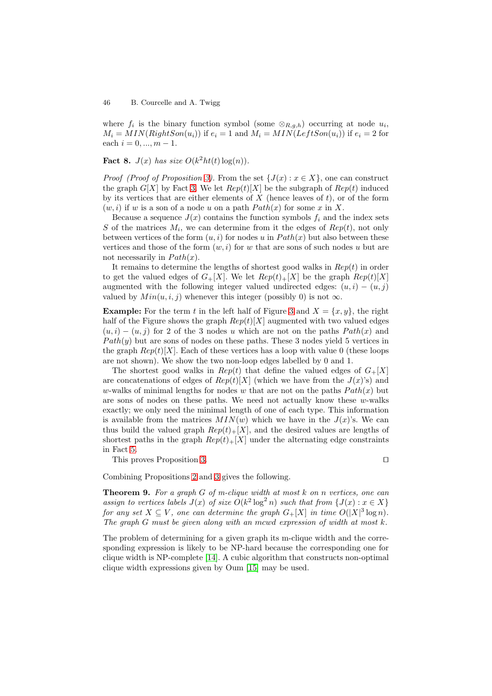where  $f_i$  is the binary function symbol (some  $\otimes_{R,g,h}$ ) occurring at node  $u_i$ ,  $M_i = MIN(RightSon(u_i))$  if  $e_i = 1$  and  $M_i = MIN(LeftSon(u_i))$  if  $e_i = 2$  for each  $i = 0, ..., m - 1$ .

**Fact 8.**  $J(x)$  has size  $O(k^2ht(t)\log(n))$ .

*Proof (Proof of Proposition 3)*. From the set  $\{J(x): x \in X\}$ , one can construct the graph  $G[X]$  by Fact 3. We let  $Rep(t)[X]$  be the subgraph of  $Rep(t)$  induced by its vertices that are either elements of  $X$  (hence leaves of t), or of the form  $(w, i)$  if w is a son of a node u on a path  $Path(x)$  for some x in X.

Because a sequence  $J(x)$  [co](#page-7-1)ntains the function symbols  $f_i$  and the index sets S of the matrices  $M_i$ , [we](#page-6-0) can determine from it the edges of  $Rep(t)$ , not only between vertices of the form  $(u, i)$  for nodes u in  $Path(x)$  but also between these vertices and those of the form  $(w, i)$  for w that are sons of such nodes u but are not necessarily in  $Path(x)$ .

It remains to determine the lengths of shortest good walks in  $Rep(t)$  in order to get the valued edges of  $G_{+}[X]$ . We let  $Rep(t)_{+}[X]$  be the graph  $Rep(t)[X]$ augmented with the following integer valued undirected edges:  $(u, i) - (u, j)$ valued by  $Min(u, i, j)$  whenever this integer (possibly 0) is not  $\infty$ .

**Example:** For the term t in the left half of Figure 3 and  $X = \{x, y\}$ , the right half of the Figure shows the graph  $Rep(t)[X]$  augmented with two valued edges  $(u,i) - (u,j)$  for 2 of the 3 nodes u which are not on the paths  $Path(x)$  and  $Path(y)$  but are sons of nodes on these paths. These 3 nodes yield 5 vertices in the graph  $Rep(t)[X]$ . Each of these vertices has a lo[op](#page-8-0) with value 0 (these loops are not shown). We show the two non-loop edges labelled by 0 and 1.

The shortest good walks in  $Rep(t)$  that define the valued edges of  $G_+[X]$ are concatenations of edges of  $Rep(t)[X]$  (which we have from the  $J(x)$ 's) and w-walks of minimal lengths for nodes w that are not on the paths  $Path(x)$  but are sons of nodes on these paths. We need not actually know these  $w$ -walks exactly; we only need the minimal length of one of each type. This information is available from the matrices  $MIN(w)$  which we have in the  $J(x)$ 's. We can thus build the valued graph  $Rep(t)_+[X]$ , and the desired values are lengths of shortest paths in the graph  $Rep(t)_+ [X]$  under the alternating edge constraints in Fact 5.

This proves Proposition 3.

**Theor[em](#page-7-2) 9.** For a graph G of m-clique width at most k on n vertices, one can

Combining Propositions 2 and 3 gives the following.

assign to vertices labels  $J(x)$  $J(x)$  of size  $O(k^2 \log^2 n)$  such that from  $\{J(x) : x \in X\}$ for any set  $X \subseteq V$ , one can determine the graph  $G_{+}[X]$  in time  $O(|X|^3 \log n)$ . The graph G must be giv[en](#page-6-1) alo[ng](#page-7-1) with an mcwd expression of width at most k.

The problem of determining for a given graph its m-clique width and the corresponding expression is likely to be NP-hard because the corresponding one for clique width is NP-complete [14]. A cubic algorithm that constructs non-optimal clique width expressions given by Oum [15] may be used.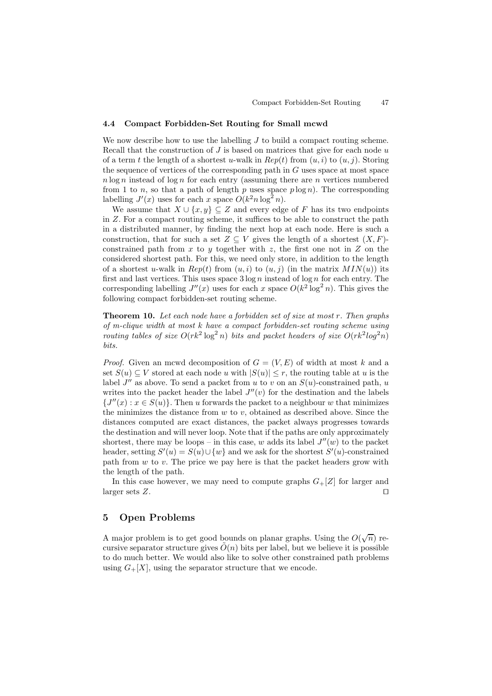#### **4.4 Compact Forbidden-Set Routing for Small mcwd**

We now describe how to use the labelling  $J$  to build a compact routing scheme. Recall that the construction of  $J$  is based on matrices that give for each node  $u$ of a term t the length of a shortest u-walk in  $Rep(t)$  from  $(u, i)$  to  $(u, j)$ . Storing the sequence of vertices of the corresponding path in  $G$  uses space at most space  $n \log n$  instead of  $\log n$  for each entry (assuming there are n vertices numbered from 1 to n, so that a path of length p uses space  $p \log n$ . The corresponding labelling  $J'(x)$  uses for each x space  $O(k^2 n \log^2 n)$ .

We assume that  $X \cup \{x, y\} \subseteq Z$  and every edge of F has its two endpoints in Z. For a compact routing scheme, it suffices to be able to construct the path in a distributed manner, by finding the next hop at each node. Here is such a construction, that for such a set  $Z \subseteq V$  gives the length of a shortest  $(X, F)$ constrained path from  $x$  to  $y$  together with  $z$ , the first one not in  $Z$  on the considered shortest path. For this, we need only store, in addition to the length of a shortest u-walk in  $Rep(t)$  from  $(u, i)$  to  $(u, j)$  (in the matrix  $MIN(u)$ ) its first and last vertices. This uses space  $3 \log n$  instead of  $\log n$  for each entry. The corresponding labelling  $J''(x)$  uses for each x space  $O(k^2 \log^2 n)$ . This gives the following compact forbidden-set routing scheme.

**Theorem 10.** Let each node have a forbidden set of size at most r. Then graphs of m-clique width at most k have a compact forbidden-set routing scheme using routing tables of size  $O(rk^2 \log^2 n)$  bits and packet headers of size  $O(rk^2 \log^2 n)$ bits.

*Proof.* Given an mcwd decomposition of  $G = (V, E)$  of width at most k and a set  $S(u) \subseteq V$  stored at each node u with  $|S(u)| \leq r$ , the routing table at u is the label  $J''$  as above. To send a packet from u to v on an  $S(u)$ -constrained path, u writes into the packet header the label  $J''(v)$  for the destination and the labels  ${J''(x) : x \in S(u)}$ . Then u forwards the packet to a neighbour w that minimizes the minimizes the distance from  $w$  to  $v$ , obtained as described above. Since the distances computed are exact distances, the packet always progresses towards the destination and will never loop. Note that if the paths are only approximately shortest, there may be loops – in this case, w adds its label  $J''(w)$  to the packet header, setting  $S'(u) = S(u) \cup \{w\}$  and we ask for the shortest  $S'(u)$ -constrained path from  $w$  to  $v$ . The price we pay here is that the packet headers grow with the length of the path.

In this case however, we may need to compute graphs  $G_{+}[Z]$  for larger and larger sets  $Z$ .

## **5 Open Problems**

A major problem is to get good bounds on planar graphs. Using the  $O(\sqrt{n})$  recursive separator structure gives  $\tilde{O}(n)$  bits per label, but we believe it is possible to do much better. We would also like to solve other constrained path problems using  $G_{+}[X]$ , using the separator structure that we encode.